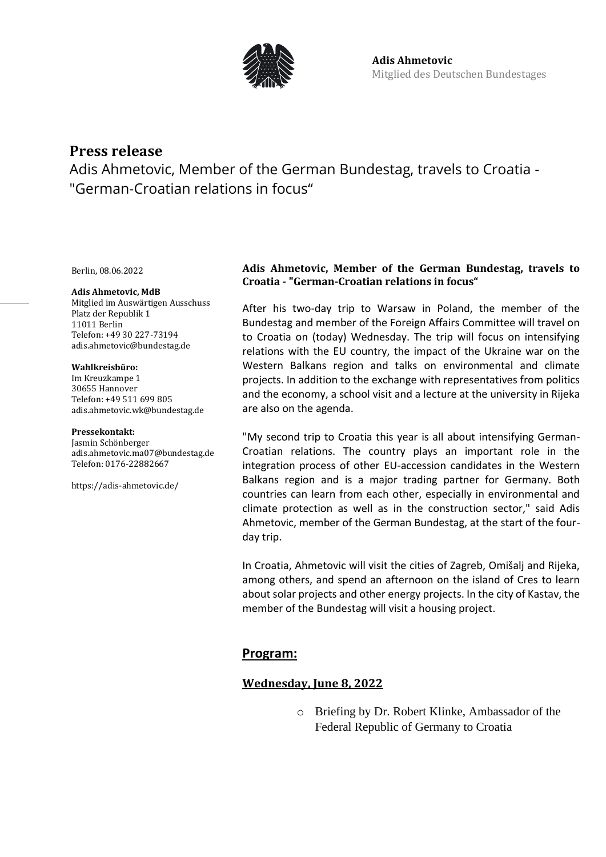

# **Press release**

Adis Ahmetovic, Member of the German Bundestag, travels to Croatia - "German-Croatian relations in focus"

Berlin, 08.06.2022

#### **Adis Ahmetovic, MdB**

Mitglied im Auswärtigen Ausschuss Platz der Republik 1 11011 Berlin Telefon: +49 30 227-73194 adis.ahmetovic@bundestag.de

#### **Wahlkreisbüro:**

Im Kreuzkampe 1 30655 Hannover Telefon: +49 511 699 805 [adis.ahmetovic.wk@bundestag.de](mailto:adis.ahmetovic.wk@bundestag.de)

#### **Pressekontakt:**

Jasmin Schönberger adis.ahmetovic.ma07@bundestag.de Telefon[: 0176-22882667](mailto:adis.ahmetovic.wk@bundestag.de)

<https://adis-ahmetovic.de/>

### **Adis Ahmetovic, Member of the German Bundestag, travels to Croatia - "German-Croatian relations in focus"**

After his two-day trip to Warsaw in Poland, the member of the Bundestag and member of the Foreign Affairs Committee will travel on to Croatia on (today) Wednesday. The trip will focus on intensifying relations with the EU country, the impact of the Ukraine war on the Western Balkans region and talks on environmental and climate projects. In addition to the exchange with representatives from politics and the economy, a school visit and a lecture at the university in Rijeka are also on the agenda.

"My second trip to Croatia this year is all about intensifying German-Croatian relations. The country plays an important role in the integration process of other EU-accession candidates in the Western Balkans region and is a major trading partner for Germany. Both countries can learn from each other, especially in environmental and climate protection as well as in the construction sector," said Adis Ahmetovic, member of the German Bundestag, at the start of the fourday trip.

In Croatia, Ahmetovic will visit the cities of Zagreb, Omišalj and Rijeka, among others, and spend an afternoon on the island of Cres to learn about solar projects and other energy projects. In the city of Kastav, the member of the Bundestag will visit a housing project.

### **Program:**

### **Wednesday, June 8, 2022**

o Briefing by Dr. Robert Klinke, Ambassador of the Federal Republic of Germany to Croatia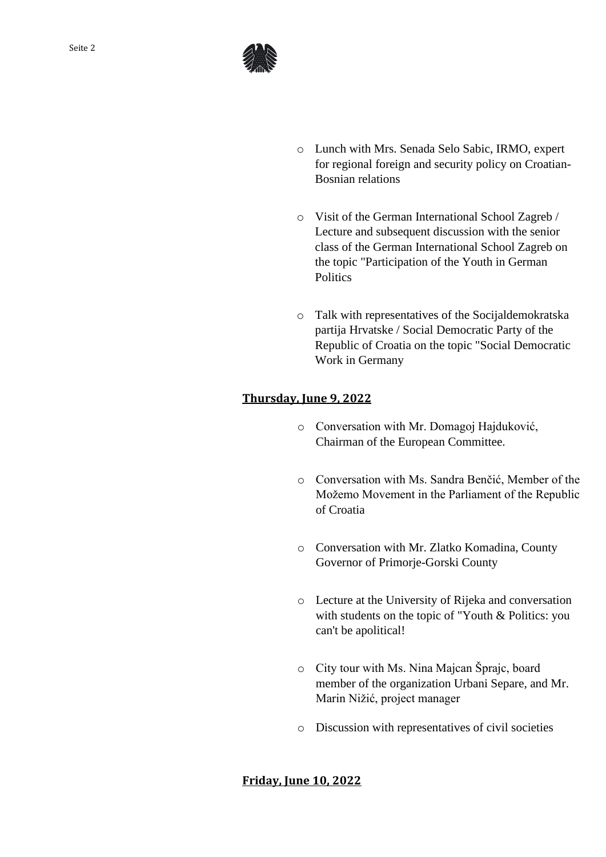

- o Lunch with Mrs. Senada Selo Sabic, IRMO, expert for regional foreign and security policy on Croatian-Bosnian relations
- o Visit of the German International School Zagreb / Lecture and subsequent discussion with the senior class of the German International School Zagreb on the topic "Participation of the Youth in German **Politics**
- o Talk with representatives of the Socijaldemokratska partija Hrvatske / Social Democratic Party of the Republic of Croatia on the topic "Social Democratic Work in Germany

# **Thursday, June 9, 2022**

- o Conversation with Mr. Domagoj Hajduković, Chairman of the European Committee.
- o Conversation with Ms. Sandra Benčić, Member of the Možemo Movement in the Parliament of the Republic of Croatia
- o Conversation with Mr. Zlatko Komadina, County Governor of Primorje-Gorski County
- o Lecture at the University of Rijeka and conversation with students on the topic of "Youth & Politics: you can't be apolitical!
- o City tour with Ms. Nina Majcan Šprajc, board member of the organization Urbani Separe, and Mr. Marin Nižić, project manager
- o Discussion with representatives of civil societies

### **Friday, June 10, 2022**